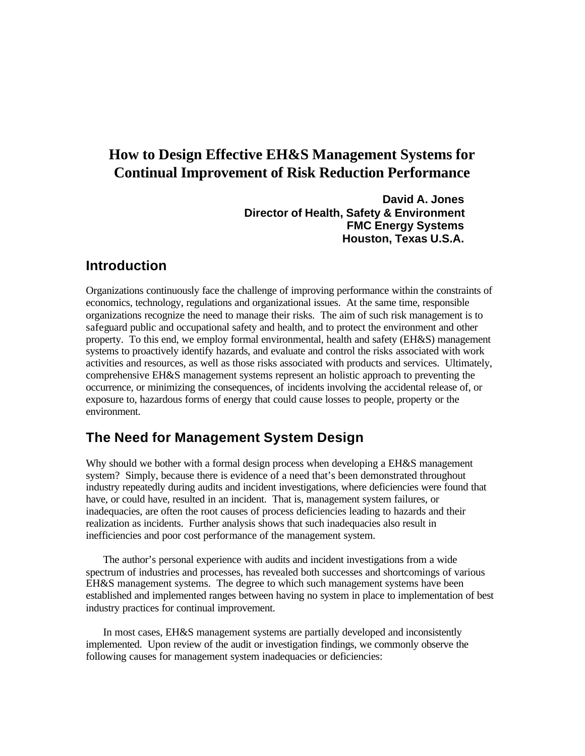# **How to Design Effective EH&S Management Systems for Continual Improvement of Risk Reduction Performance**

**David A. Jones Director of Health, Safety & Environment FMC Energy Systems Houston, Texas U.S.A.**

## **Introduction**

Organizations continuously face the challenge of improving performance within the constraints of economics, technology, regulations and organizational issues. At the same time, responsible organizations recognize the need to manage their risks. The aim of such risk management is to safeguard public and occupational safety and health, and to protect the environment and other property. To this end, we employ formal environmental, health and safety (EH&S) management systems to proactively identify hazards, and evaluate and control the risks associated with work activities and resources, as well as those risks associated with products and services. Ultimately, comprehensive EH&S management systems represent an holistic approach to preventing the occurrence, or minimizing the consequences, of incidents involving the accidental release of, or exposure to, hazardous forms of energy that could cause losses to people, property or the environment.

## **The Need for Management System Design**

Why should we bother with a formal design process when developing a EH&S management system? Simply, because there is evidence of a need that's been demonstrated throughout industry repeatedly during audits and incident investigations, where deficiencies were found that have, or could have, resulted in an incident. That is, management system failures, or inadequacies, are often the root causes of process deficiencies leading to hazards and their realization as incidents. Further analysis shows that such inadequacies also result in inefficiencies and poor cost performance of the management system.

 The author's personal experience with audits and incident investigations from a wide spectrum of industries and processes, has revealed both successes and shortcomings of various EH&S management systems. The degree to which such management systems have been established and implemented ranges between having no system in place to implementation of best industry practices for continual improvement.

 In most cases, EH&S management systems are partially developed and inconsistently implemented. Upon review of the audit or investigation findings, we commonly observe the following causes for management system inadequacies or deficiencies: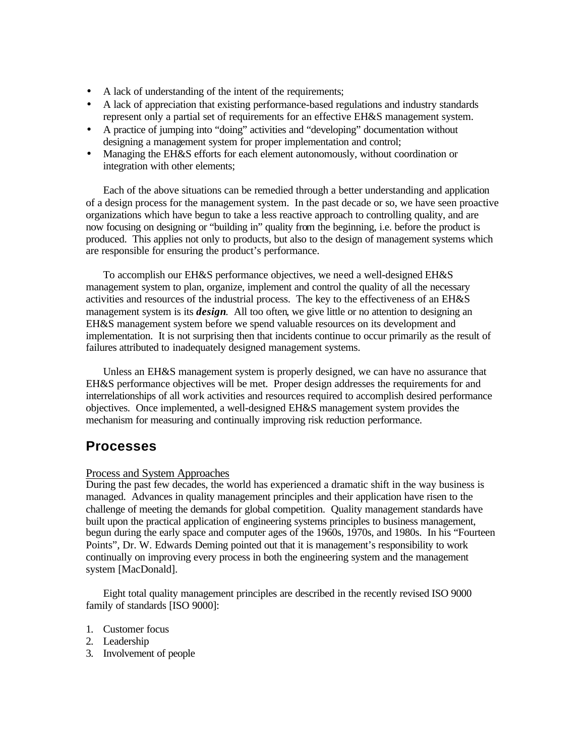- A lack of understanding of the intent of the requirements;
- A lack of appreciation that existing performance-based regulations and industry standards represent only a partial set of requirements for an effective EH&S management system.
- A practice of jumping into "doing" activities and "developing" documentation without designing a management system for proper implementation and control;
- Managing the EH&S efforts for each element autonomously, without coordination or integration with other elements;

 Each of the above situations can be remedied through a better understanding and application of a design process for the management system. In the past decade or so, we have seen proactive organizations which have begun to take a less reactive approach to controlling quality, and are now focusing on designing or "building in" quality from the beginning, i.e. before the product is produced. This applies not only to products, but also to the design of management systems which are responsible for ensuring the product's performance.

 To accomplish our EH&S performance objectives, we need a well-designed EH&S management system to plan, organize, implement and control the quality of all the necessary activities and resources of the industrial process. The key to the effectiveness of an EH&S management system is its *design*. All too often, we give little or no attention to designing an EH&S management system before we spend valuable resources on its development and implementation. It is not surprising then that incidents continue to occur primarily as the result of failures attributed to inadequately designed management systems.

 Unless an EH&S management system is properly designed, we can have no assurance that EH&S performance objectives will be met. Proper design addresses the requirements for and interrelationships of all work activities and resources required to accomplish desired performance objectives. Once implemented, a well-designed EH&S management system provides the mechanism for measuring and continually improving risk reduction performance.

## **Processes**

## Process and System Approaches

During the past few decades, the world has experienced a dramatic shift in the way business is managed. Advances in quality management principles and their application have risen to the challenge of meeting the demands for global competition. Quality management standards have built upon the practical application of engineering systems principles to business management, begun during the early space and computer ages of the 1960s, 1970s, and 1980s. In his "Fourteen Points", Dr. W. Edwards Deming pointed out that it is management's responsibility to work continually on improving every process in both the engineering system and the management system [MacDonald].

 Eight total quality management principles are described in the recently revised ISO 9000 family of standards [ISO 9000]:

- 1. Customer focus
- 2. Leadership
- 3. Involvement of people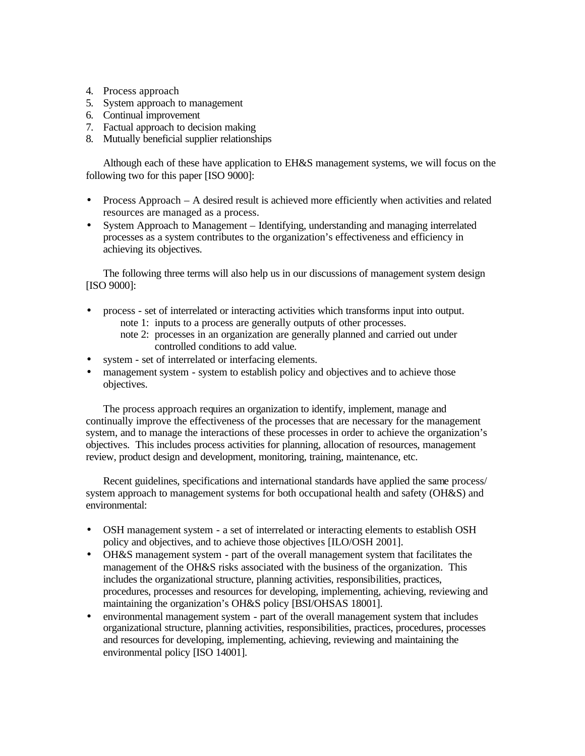- 4. Process approach
- 5. System approach to management
- 6. Continual improvement
- 7. Factual approach to decision making
- 8. Mutually beneficial supplier relationships

 Although each of these have application to EH&S management systems, we will focus on the following two for this paper [ISO 9000]:

- Process Approach A desired result is achieved more efficiently when activities and related resources are managed as a process.
- System Approach to Management Identifying, understanding and managing interrelated processes as a system contributes to the organization's effectiveness and efficiency in achieving its objectives.

 The following three terms will also help us in our discussions of management system design [ISO 9000]:

- process set of interrelated or interacting activities which transforms input into output. note 1: inputs to a process are generally outputs of other processes.
	- note 2: processes in an organization are generally planned and carried out under controlled conditions to add value.
- system set of interrelated or interfacing elements.
- management system system to establish policy and objectives and to achieve those objectives.

 The process approach requires an organization to identify, implement, manage and continually improve the effectiveness of the processes that are necessary for the management system, and to manage the interactions of these processes in order to achieve the organization's objectives. This includes process activities for planning, allocation of resources, management review, product design and development, monitoring, training, maintenance, etc.

 Recent guidelines, specifications and international standards have applied the same process/ system approach to management systems for both occupational health and safety (OH&S) and environmental:

- OSH management system a set of interrelated or interacting elements to establish OSH policy and objectives, and to achieve those objectives [ILO/OSH 2001].
- OH&S management system part of the overall management system that facilitates the management of the OH&S risks associated with the business of the organization. This includes the organizational structure, planning activities, responsibilities, practices, procedures, processes and resources for developing, implementing, achieving, reviewing and maintaining the organization's OH&S policy [BSI/OHSAS 18001].
- environmental management system part of the overall management system that includes organizational structure, planning activities, responsibilities, practices, procedures, processes and resources for developing, implementing, achieving, reviewing and maintaining the environmental policy [ISO 14001].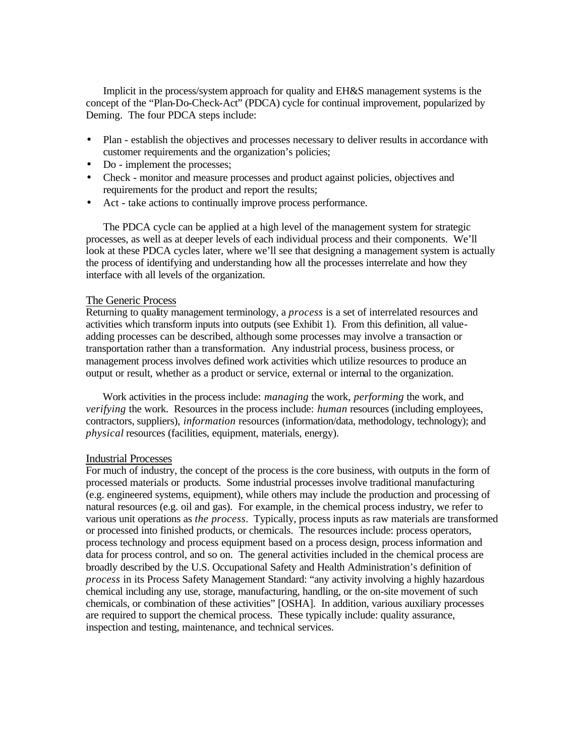Implicit in the process/system approach for quality and EH&S management systems is the concept of the "Plan-Do-Check-Act" (PDCA) cycle for continual improvement, popularized by Deming. The four PDCA steps include:

- Plan establish the objectives and processes necessary to deliver results in accordance with customer requirements and the organization's policies;
- Do implement the processes;
- Check monitor and measure processes and product against policies, objectives and requirements for the product and report the results;
- Act take actions to continually improve process performance.

 The PDCA cycle can be applied at a high level of the management system for strategic processes, as well as at deeper levels of each individual process and their components. We'll look at these PDCA cycles later, where we'll see that designing a management system is actually the process of identifying and understanding how all the processes interrelate and how they interface with all levels of the organization.

#### The Generic Process

Returning to quality management terminology, a *process* is a set of interrelated resources and activities which transform inputs into outputs (see Exhibit 1). From this definition, all valueadding processes can be described, although some processes may involve a transaction or transportation rather than a transformation. Any industrial process, business process, or management process involves defined work activities which utilize resources to produce an output or result, whether as a product or service, external or internal to the organization.

 Work activities in the process include: *managing* the work, *performing* the work, and *verifying* the work. Resources in the process include: *human* resources (including employees, contractors, suppliers), *information* resources (information/data, methodology, technology); and *physical* resources (facilities, equipment, materials, energy).

#### Industrial Processes

For much of industry, the concept of the process is the core business, with outputs in the form of processed materials or products. Some industrial processes involve traditional manufacturing (e.g. engineered systems, equipment), while others may include the production and processing of natural resources (e.g. oil and gas). For example, in the chemical process industry, we refer to various unit operations as *the process*. Typically, process inputs as raw materials are transformed or processed into finished products, or chemicals. The resources include: process operators, process technology and process equipment based on a process design, process information and data for process control, and so on. The general activities included in the chemical process are broadly described by the U.S. Occupational Safety and Health Administration's definition of *process* in its Process Safety Management Standard: "any activity involving a highly hazardous chemical including any use, storage, manufacturing, handling, or the on-site movement of such chemicals, or combination of these activities" [OSHA]. In addition, various auxiliary processes are required to support the chemical process. These typically include: quality assurance, inspection and testing, maintenance, and technical services.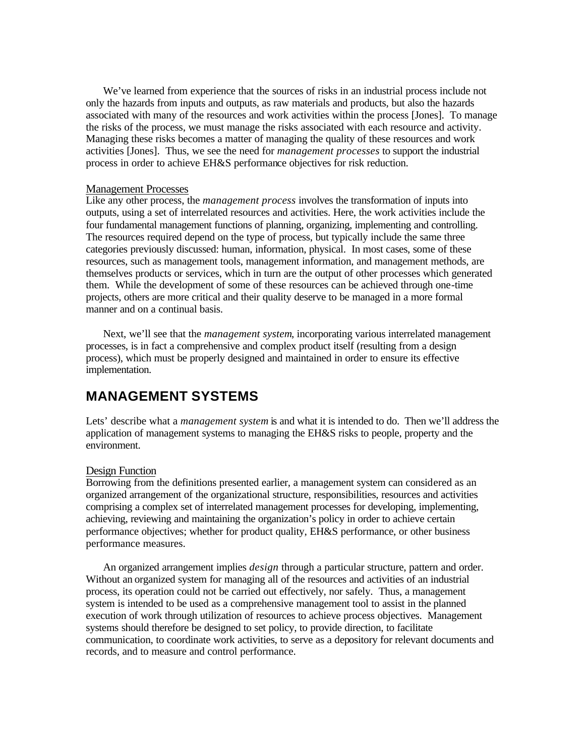We've learned from experience that the sources of risks in an industrial process include not only the hazards from inputs and outputs, as raw materials and products, but also the hazards associated with many of the resources and work activities within the process [Jones]. To manage the risks of the process, we must manage the risks associated with each resource and activity. Managing these risks becomes a matter of managing the quality of these resources and work activities [Jones]. Thus, we see the need for *management processes* to support the industrial process in order to achieve EH&S performance objectives for risk reduction.

#### Management Processes

Like any other process, the *management process* involves the transformation of inputs into outputs, using a set of interrelated resources and activities. Here, the work activities include the four fundamental management functions of planning, organizing, implementing and controlling. The resources required depend on the type of process, but typically include the same three categories previously discussed: human, information, physical. In most cases, some of these resources, such as management tools, management information, and management methods, are themselves products or services, which in turn are the output of other processes which generated them. While the development of some of these resources can be achieved through one-time projects, others are more critical and their quality deserve to be managed in a more formal manner and on a continual basis.

 Next, we'll see that the *management system*, incorporating various interrelated management processes, is in fact a comprehensive and complex product itself (resulting from a design process), which must be properly designed and maintained in order to ensure its effective implementation.

## **MANAGEMENT SYSTEMS**

Lets' describe what a *management system* is and what it is intended to do. Then we'll address the application of management systems to managing the EH&S risks to people, property and the environment.

#### Design Function

Borrowing from the definitions presented earlier, a management system can considered as an organized arrangement of the organizational structure, responsibilities, resources and activities comprising a complex set of interrelated management processes for developing, implementing, achieving, reviewing and maintaining the organization's policy in order to achieve certain performance objectives; whether for product quality, EH&S performance, or other business performance measures.

 An organized arrangement implies *design* through a particular structure, pattern and order. Without an organized system for managing all of the resources and activities of an industrial process, its operation could not be carried out effectively, nor safely. Thus, a management system is intended to be used as a comprehensive management tool to assist in the planned execution of work through utilization of resources to achieve process objectives. Management systems should therefore be designed to set policy, to provide direction, to facilitate communication, to coordinate work activities, to serve as a depository for relevant documents and records, and to measure and control performance.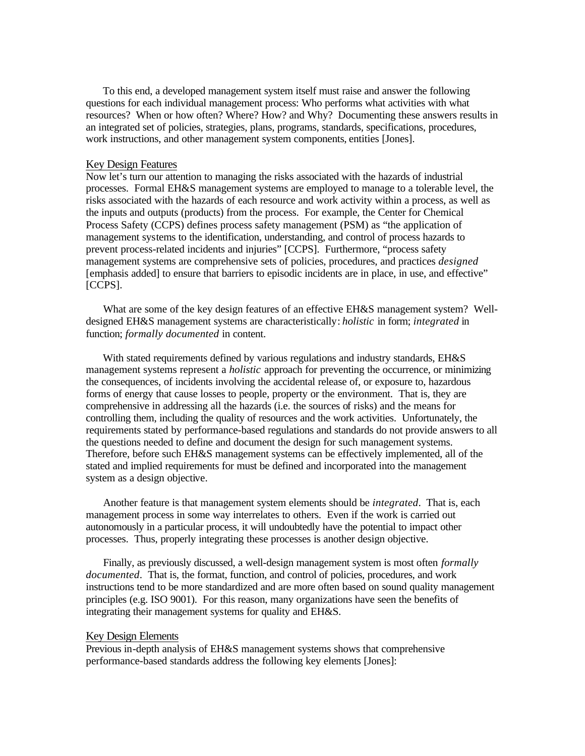To this end, a developed management system itself must raise and answer the following questions for each individual management process: Who performs what activities with what resources? When or how often? Where? How? and Why? Documenting these answers results in an integrated set of policies, strategies, plans, programs, standards, specifications, procedures, work instructions, and other management system components, entities [Jones].

#### Key Design Features

Now let's turn our attention to managing the risks associated with the hazards of industrial processes. Formal EH&S management systems are employed to manage to a tolerable level, the risks associated with the hazards of each resource and work activity within a process, as well as the inputs and outputs (products) from the process. For example, the Center for Chemical Process Safety (CCPS) defines process safety management (PSM) as "the application of management systems to the identification, understanding, and control of process hazards to prevent process-related incidents and injuries" [CCPS]. Furthermore, "process safety management systems are comprehensive sets of policies, procedures, and practices *designed* [emphasis added] to ensure that barriers to episodic incidents are in place, in use, and effective" [CCPS].

 What are some of the key design features of an effective EH&S management system? Welldesigned EH&S management systems are characteristically: *holistic* in form; *integrated* in function; *formally documented* in content.

With stated requirements defined by various regulations and industry standards, EH&S management systems represent a *holistic* approach for preventing the occurrence, or minimizing the consequences, of incidents involving the accidental release of, or exposure to, hazardous forms of energy that cause losses to people, property or the environment. That is, they are comprehensive in addressing all the hazards (i.e. the sources of risks) and the means for controlling them, including the quality of resources and the work activities. Unfortunately, the requirements stated by performance-based regulations and standards do not provide answers to all the questions needed to define and document the design for such management systems. Therefore, before such EH&S management systems can be effectively implemented, all of the stated and implied requirements for must be defined and incorporated into the management system as a design objective.

 Another feature is that management system elements should be *integrated*. That is, each management process in some way interrelates to others. Even if the work is carried out autonomously in a particular process, it will undoubtedly have the potential to impact other processes. Thus, properly integrating these processes is another design objective.

 Finally, as previously discussed, a well-design management system is most often *formally documented*. That is, the format, function, and control of policies, procedures, and work instructions tend to be more standardized and are more often based on sound quality management principles (e.g. ISO 9001). For this reason, many organizations have seen the benefits of integrating their management systems for quality and EH&S.

#### Key Design Elements

Previous in-depth analysis of EH&S management systems shows that comprehensive performance-based standards address the following key elements [Jones]: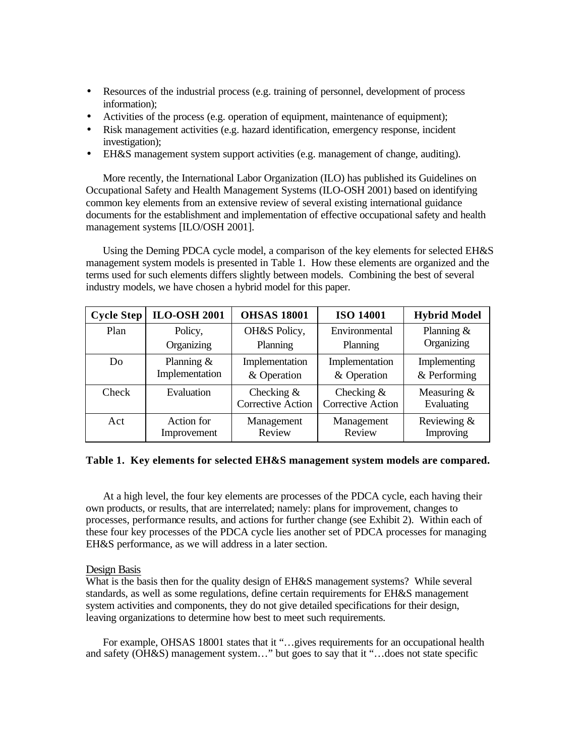- Resources of the industrial process (e.g. training of personnel, development of process information);
- Activities of the process (e.g. operation of equipment, maintenance of equipment);
- Risk management activities (e.g. hazard identification, emergency response, incident investigation);
- EH&S management system support activities (e.g. management of change, auditing).

 More recently, the International Labor Organization (ILO) has published its Guidelines on Occupational Safety and Health Management Systems (ILO-OSH 2001) based on identifying common key elements from an extensive review of several existing international guidance documents for the establishment and implementation of effective occupational safety and health management systems [ILO/OSH 2001].

 Using the Deming PDCA cycle model, a comparison of the key elements for selected EH&S management system models is presented in Table 1. How these elements are organized and the terms used for such elements differs slightly between models. Combining the best of several industry models, we have chosen a hybrid model for this paper.

| <b>Cycle Step</b> | <b>ILO-OSH 2001</b>            | <b>OHSAS 18001</b>                        | <b>ISO 14001</b>                          | <b>Hybrid Model</b>            |
|-------------------|--------------------------------|-------------------------------------------|-------------------------------------------|--------------------------------|
| Plan              | Policy,                        | OH&S Policy,                              | Environmental                             | Planning $&$                   |
|                   | Organizing                     | Planning                                  | Planning                                  | Organizing                     |
| Do                | Planning $&$<br>Implementation | Implementation<br>& Operation             | Implementation<br>& Operation             | Implementing<br>$&$ Performing |
| Check             | Evaluation                     | Checking $\&$<br><b>Corrective Action</b> | Checking $\&$<br><b>Corrective Action</b> | Measuring $&$<br>Evaluating    |
| Act               | Action for<br>Improvement      | Management<br>Review                      | Management<br>Review                      | Reviewing &<br>Improving       |

#### **Table 1. Key elements for selected EH&S management system models are compared.**

 At a high level, the four key elements are processes of the PDCA cycle, each having their own products, or results, that are interrelated; namely: plans for improvement, changes to processes, performance results, and actions for further change (see Exhibit 2). Within each of these four key processes of the PDCA cycle lies another set of PDCA processes for managing EH&S performance, as we will address in a later section.

#### Design Basis

What is the basis then for the quality design of EH&S management systems? While several standards, as well as some regulations, define certain requirements for EH&S management system activities and components, they do not give detailed specifications for their design, leaving organizations to determine how best to meet such requirements.

For example, OHSAS 18001 states that it "...gives requirements for an occupational health and safety (OH&S) management system…" but goes to say that it "…does not state specific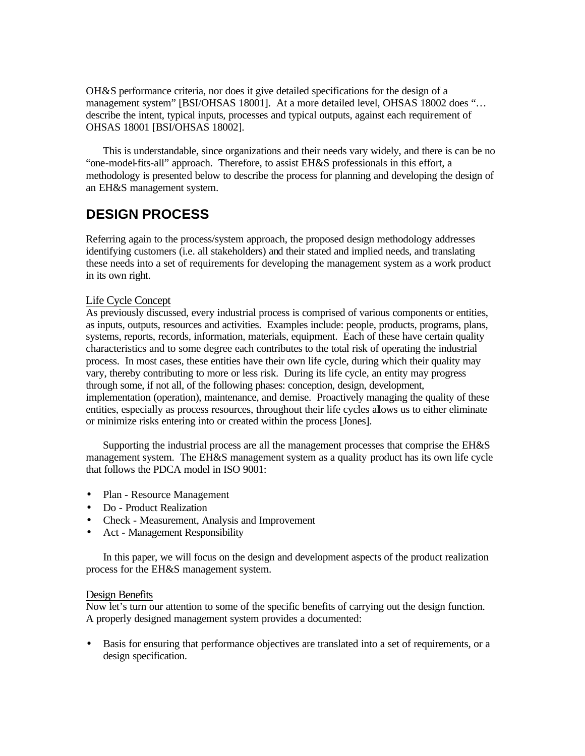OH&S performance criteria, nor does it give detailed specifications for the design of a management system" [BSI/OHSAS 18001]. At a more detailed level, OHSAS 18002 does "... describe the intent, typical inputs, processes and typical outputs, against each requirement of OHSAS 18001 [BSI/OHSAS 18002].

 This is understandable, since organizations and their needs vary widely, and there is can be no "one-model-fits-all" approach. Therefore, to assist EH&S professionals in this effort, a methodology is presented below to describe the process for planning and developing the design of an EH&S management system.

# **DESIGN PROCESS**

Referring again to the process/system approach, the proposed design methodology addresses identifying customers (i.e. all stakeholders) and their stated and implied needs, and translating these needs into a set of requirements for developing the management system as a work product in its own right.

## Life Cycle Concept

As previously discussed, every industrial process is comprised of various components or entities, as inputs, outputs, resources and activities. Examples include: people, products, programs, plans, systems, reports, records, information, materials, equipment. Each of these have certain quality characteristics and to some degree each contributes to the total risk of operating the industrial process. In most cases, these entities have their own life cycle, during which their quality may vary, thereby contributing to more or less risk. During its life cycle, an entity may progress through some, if not all, of the following phases: conception, design, development, implementation (operation), maintenance, and demise. Proactively managing the quality of these entities, especially as process resources, throughout their life cycles allows us to either eliminate or minimize risks entering into or created within the process [Jones].

 Supporting the industrial process are all the management processes that comprise the EH&S management system. The EH&S management system as a quality product has its own life cycle that follows the PDCA model in ISO 9001:

- Plan Resource Management
- Do Product Realization
- Check Measurement, Analysis and Improvement
- Act Management Responsibility

 In this paper, we will focus on the design and development aspects of the product realization process for the EH&S management system.

### Design Benefits

Now let's turn our attention to some of the specific benefits of carrying out the design function. A properly designed management system provides a documented:

• Basis for ensuring that performance objectives are translated into a set of requirements, or a design specification.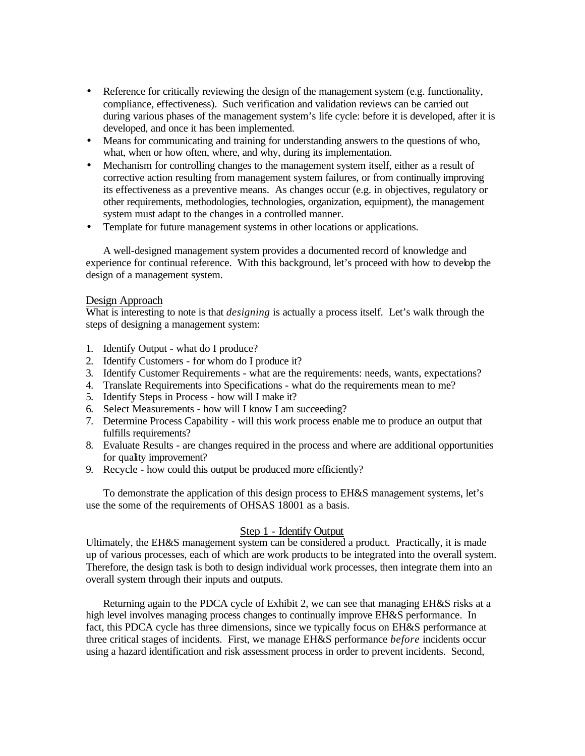- Reference for critically reviewing the design of the management system (e.g. functionality, compliance, effectiveness). Such verification and validation reviews can be carried out during various phases of the management system's life cycle: before it is developed, after it is developed, and once it has been implemented.
- Means for communicating and training for understanding answers to the questions of who, what, when or how often, where, and why, during its implementation.
- Mechanism for controlling changes to the management system itself, either as a result of corrective action resulting from management system failures, or from continually improving its effectiveness as a preventive means. As changes occur (e.g. in objectives, regulatory or other requirements, methodologies, technologies, organization, equipment), the management system must adapt to the changes in a controlled manner.
- Template for future management systems in other locations or applications.

 A well-designed management system provides a documented record of knowledge and experience for continual reference. With this background, let's proceed with how to develop the design of a management system.

#### Design Approach

What is interesting to note is that *designing* is actually a process itself. Let's walk through the steps of designing a management system:

- 1. Identify Output what do I produce?
- 2. Identify Customers for whom do I produce it?
- 3. Identify Customer Requirements what are the requirements: needs, wants, expectations?
- 4. Translate Requirements into Specifications what do the requirements mean to me?
- 5. Identify Steps in Process how will I make it?
- 6. Select Measurements how will I know I am succeeding?
- 7. Determine Process Capability will this work process enable me to produce an output that fulfills requirements?
- 8. Evaluate Results are changes required in the process and where are additional opportunities for quality improvement?
- 9. Recycle how could this output be produced more efficiently?

 To demonstrate the application of this design process to EH&S management systems, let's use the some of the requirements of OHSAS 18001 as a basis.

### Step 1 - Identify Output

Ultimately, the EH&S management system can be considered a product. Practically, it is made up of various processes, each of which are work products to be integrated into the overall system. Therefore, the design task is both to design individual work processes, then integrate them into an overall system through their inputs and outputs.

 Returning again to the PDCA cycle of Exhibit 2, we can see that managing EH&S risks at a high level involves managing process changes to continually improve EH&S performance. In fact, this PDCA cycle has three dimensions, since we typically focus on EH&S performance at three critical stages of incidents. First, we manage EH&S performance *before* incidents occur using a hazard identification and risk assessment process in order to prevent incidents. Second,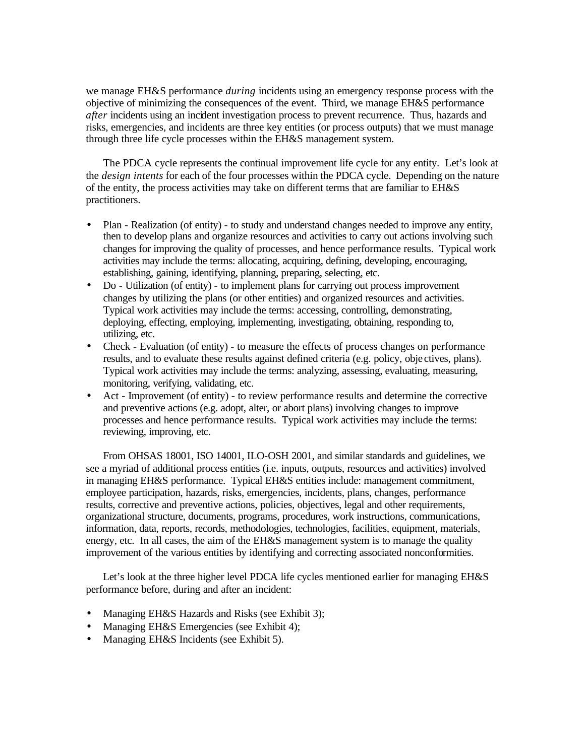we manage EH&S performance *during* incidents using an emergency response process with the objective of minimizing the consequences of the event. Third, we manage EH&S performance *after* incidents using an incident investigation process to prevent recurrence. Thus, hazards and risks, emergencies, and incidents are three key entities (or process outputs) that we must manage through three life cycle processes within the EH&S management system.

 The PDCA cycle represents the continual improvement life cycle for any entity. Let's look at the *design intents* for each of the four processes within the PDCA cycle. Depending on the nature of the entity, the process activities may take on different terms that are familiar to EH&S practitioners.

- Plan Realization (of entity) to study and understand changes needed to improve any entity, then to develop plans and organize resources and activities to carry out actions involving such changes for improving the quality of processes, and hence performance results. Typical work activities may include the terms: allocating, acquiring, defining, developing, encouraging, establishing, gaining, identifying, planning, preparing, selecting, etc.
- Do Utilization (of entity) to implement plans for carrying out process improvement changes by utilizing the plans (or other entities) and organized resources and activities. Typical work activities may include the terms: accessing, controlling, demonstrating, deploying, effecting, employing, implementing, investigating, obtaining, responding to, utilizing, etc.
- Check Evaluation (of entity) to measure the effects of process changes on performance results, and to evaluate these results against defined criteria (e.g. policy, obje ctives, plans). Typical work activities may include the terms: analyzing, assessing, evaluating, measuring, monitoring, verifying, validating, etc.
- Act Improvement (of entity) to review performance results and determine the corrective and preventive actions (e.g. adopt, alter, or abort plans) involving changes to improve processes and hence performance results. Typical work activities may include the terms: reviewing, improving, etc.

 From OHSAS 18001, ISO 14001, ILO-OSH 2001, and similar standards and guidelines, we see a myriad of additional process entities (i.e. inputs, outputs, resources and activities) involved in managing EH&S performance. Typical EH&S entities include: management commitment, employee participation, hazards, risks, emergencies, incidents, plans, changes, performance results, corrective and preventive actions, policies, objectives, legal and other requirements, organizational structure, documents, programs, procedures, work instructions, communications, information, data, reports, records, methodologies, technologies, facilities, equipment, materials, energy, etc. In all cases, the aim of the EH&S management system is to manage the quality improvement of the various entities by identifying and correcting associated nonconformities.

 Let's look at the three higher level PDCA life cycles mentioned earlier for managing EH&S performance before, during and after an incident:

- Managing EH&S Hazards and Risks (see Exhibit 3);
- Managing EH&S Emergencies (see Exhibit 4);
- Managing EH&S Incidents (see Exhibit 5).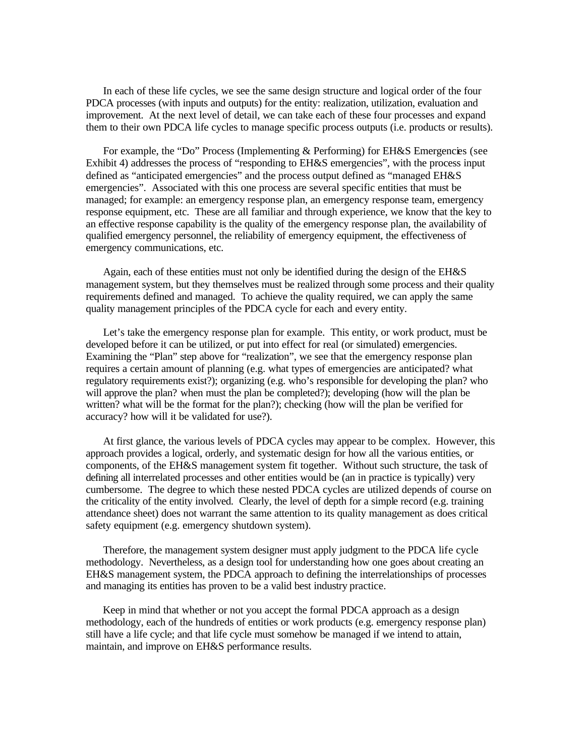In each of these life cycles, we see the same design structure and logical order of the four PDCA processes (with inputs and outputs) for the entity: realization, utilization, evaluation and improvement. At the next level of detail, we can take each of these four processes and expand them to their own PDCA life cycles to manage specific process outputs (i.e. products or results).

For example, the "Do" Process (Implementing & Performing) for EH&S Emergencies (see Exhibit 4) addresses the process of "responding to EH&S emergencies", with the process input defined as "anticipated emergencies" and the process output defined as "managed EH&S emergencies". Associated with this one process are several specific entities that must be managed; for example: an emergency response plan, an emergency response team, emergency response equipment, etc. These are all familiar and through experience, we know that the key to an effective response capability is the quality of the emergency response plan, the availability of qualified emergency personnel, the reliability of emergency equipment, the effectiveness of emergency communications, etc.

 Again, each of these entities must not only be identified during the design of the EH&S management system, but they themselves must be realized through some process and their quality requirements defined and managed. To achieve the quality required, we can apply the same quality management principles of the PDCA cycle for each and every entity.

Let's take the emergency response plan for example. This entity, or work product, must be developed before it can be utilized, or put into effect for real (or simulated) emergencies. Examining the "Plan" step above for "realization", we see that the emergency response plan requires a certain amount of planning (e.g. what types of emergencies are anticipated? what regulatory requirements exist?); organizing (e.g. who's responsible for developing the plan? who will approve the plan? when must the plan be completed?); developing (how will the plan be written? what will be the format for the plan?); checking (how will the plan be verified for accuracy? how will it be validated for use?).

 At first glance, the various levels of PDCA cycles may appear to be complex. However, this approach provides a logical, orderly, and systematic design for how all the various entities, or components, of the EH&S management system fit together. Without such structure, the task of defining all interrelated processes and other entities would be (an in practice is typically) very cumbersome. The degree to which these nested PDCA cycles are utilized depends of course on the criticality of the entity involved. Clearly, the level of depth for a simple record (e.g. training attendance sheet) does not warrant the same attention to its quality management as does critical safety equipment (e.g. emergency shutdown system).

 Therefore, the management system designer must apply judgment to the PDCA life cycle methodology. Nevertheless, as a design tool for understanding how one goes about creating an EH&S management system, the PDCA approach to defining the interrelationships of processes and managing its entities has proven to be a valid best industry practice.

 Keep in mind that whether or not you accept the formal PDCA approach as a design methodology, each of the hundreds of entities or work products (e.g. emergency response plan) still have a life cycle; and that life cycle must somehow be managed if we intend to attain, maintain, and improve on EH&S performance results.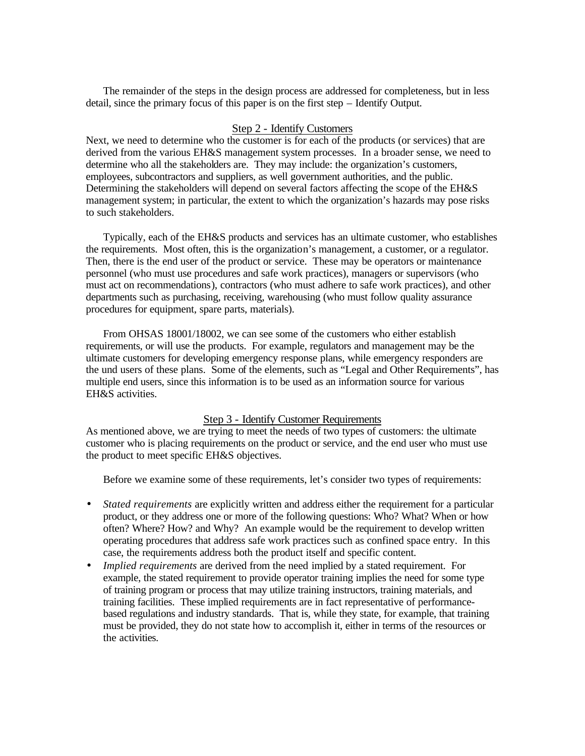The remainder of the steps in the design process are addressed for completeness, but in less detail, since the primary focus of this paper is on the first step – Identify Output.

### Step 2 - Identify Customers

Next, we need to determine who the customer is for each of the products (or services) that are derived from the various EH&S management system processes. In a broader sense, we need to determine who all the stakeholders are. They may include: the organization's customers, employees, subcontractors and suppliers, as well government authorities, and the public. Determining the stakeholders will depend on several factors affecting the scope of the EH&S management system; in particular, the extent to which the organization's hazards may pose risks to such stakeholders.

 Typically, each of the EH&S products and services has an ultimate customer, who establishes the requirements. Most often, this is the organization's management, a customer, or a regulator. Then, there is the end user of the product or service. These may be operators or maintenance personnel (who must use procedures and safe work practices), managers or supervisors (who must act on recommendations), contractors (who must adhere to safe work practices), and other departments such as purchasing, receiving, warehousing (who must follow quality assurance procedures for equipment, spare parts, materials).

 From OHSAS 18001/18002, we can see some of the customers who either establish requirements, or will use the products. For example, regulators and management may be the ultimate customers for developing emergency response plans, while emergency responders are the und users of these plans. Some of the elements, such as "Legal and Other Requirements", has multiple end users, since this information is to be used as an information source for various EH&S activities.

#### Step 3 - Identify Customer Requirements

As mentioned above, we are trying to meet the needs of two types of customers: the ultimate customer who is placing requirements on the product or service, and the end user who must use the product to meet specific EH&S objectives.

Before we examine some of these requirements, let's consider two types of requirements:

- *Stated requirements* are explicitly written and address either the requirement for a particular product, or they address one or more of the following questions: Who? What? When or how often? Where? How? and Why? An example would be the requirement to develop written operating procedures that address safe work practices such as confined space entry. In this case, the requirements address both the product itself and specific content.
- *Implied requirements* are derived from the need implied by a stated requirement. For example, the stated requirement to provide operator training implies the need for some type of training program or process that may utilize training instructors, training materials, and training facilities. These implied requirements are in fact representative of performancebased regulations and industry standards. That is, while they state, for example, that training must be provided, they do not state how to accomplish it, either in terms of the resources or the activities.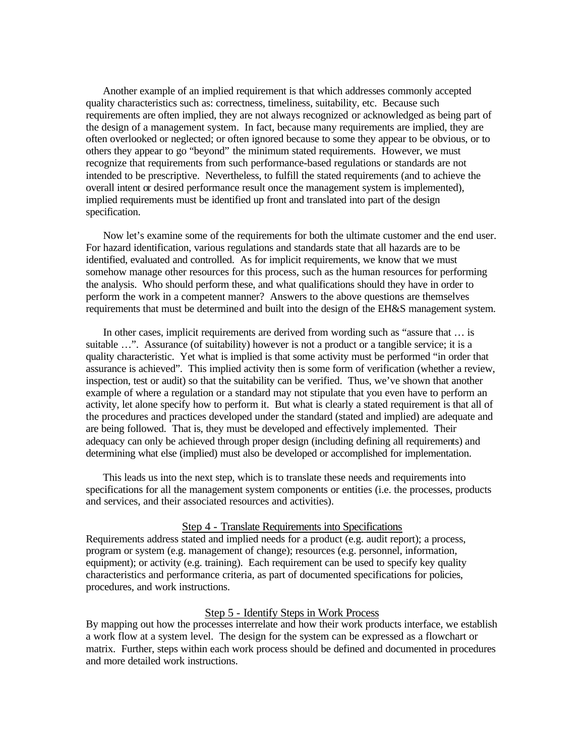Another example of an implied requirement is that which addresses commonly accepted quality characteristics such as: correctness, timeliness, suitability, etc. Because such requirements are often implied, they are not always recognized or acknowledged as being part of the design of a management system. In fact, because many requirements are implied, they are often overlooked or neglected; or often ignored because to some they appear to be obvious, or to others they appear to go "beyond" the minimum stated requirements. However, we must recognize that requirements from such performance-based regulations or standards are not intended to be prescriptive. Nevertheless, to fulfill the stated requirements (and to achieve the overall intent or desired performance result once the management system is implemented), implied requirements must be identified up front and translated into part of the design specification.

 Now let's examine some of the requirements for both the ultimate customer and the end user. For hazard identification, various regulations and standards state that all hazards are to be identified, evaluated and controlled. As for implicit requirements, we know that we must somehow manage other resources for this process, such as the human resources for performing the analysis. Who should perform these, and what qualifications should they have in order to perform the work in a competent manner? Answers to the above questions are themselves requirements that must be determined and built into the design of the EH&S management system.

 In other cases, implicit requirements are derived from wording such as "assure that … is suitable ...". Assurance (of suitability) however is not a product or a tangible service; it is a quality characteristic. Yet what is implied is that some activity must be performed "in order that assurance is achieved". This implied activity then is some form of verification (whether a review, inspection, test or audit) so that the suitability can be verified. Thus, we've shown that another example of where a regulation or a standard may not stipulate that you even have to perform an activity, let alone specify how to perform it. But what is clearly a stated requirement is that all of the procedures and practices developed under the standard (stated and implied) are adequate and are being followed. That is, they must be developed and effectively implemented. Their adequacy can only be achieved through proper design (including defining all requirements) and determining what else (implied) must also be developed or accomplished for implementation.

 This leads us into the next step, which is to translate these needs and requirements into specifications for all the management system components or entities (i.e. the processes, products and services, and their associated resources and activities).

### Step 4 - Translate Requirements into Specifications

Requirements address stated and implied needs for a product (e.g. audit report); a process, program or system (e.g. management of change); resources (e.g. personnel, information, equipment); or activity (e.g. training). Each requirement can be used to specify key quality characteristics and performance criteria, as part of documented specifications for policies, procedures, and work instructions.

#### Step 5 - Identify Steps in Work Process

By mapping out how the processes interrelate and how their work products interface, we establish a work flow at a system level. The design for the system can be expressed as a flowchart or matrix. Further, steps within each work process should be defined and documented in procedures and more detailed work instructions.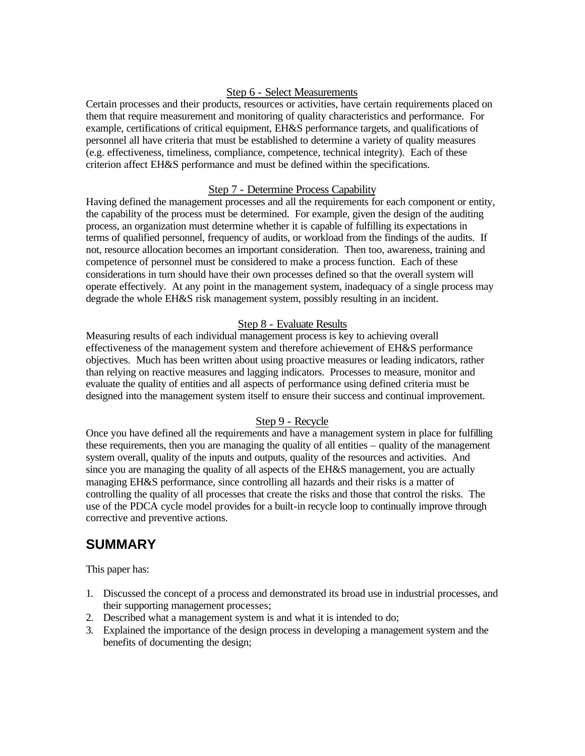## Step 6 - Select Measurements

Certain processes and their products, resources or activities, have certain requirements placed on them that require measurement and monitoring of quality characteristics and performance. For example, certifications of critical equipment, EH&S performance targets, and qualifications of personnel all have criteria that must be established to determine a variety of quality measures (e.g. effectiveness, timeliness, compliance, competence, technical integrity). Each of these criterion affect EH&S performance and must be defined within the specifications.

### Step 7 - Determine Process Capability

Having defined the management processes and all the requirements for each component or entity, the capability of the process must be determined. For example, given the design of the auditing process, an organization must determine whether it is capable of fulfilling its expectations in terms of qualified personnel, frequency of audits, or workload from the findings of the audits. If not, resource allocation becomes an important consideration. Then too, awareness, training and competence of personnel must be considered to make a process function. Each of these considerations in turn should have their own processes defined so that the overall system will operate effectively. At any point in the management system, inadequacy of a single process may degrade the whole EH&S risk management system, possibly resulting in an incident.

## Step 8 - Evaluate Results

Measuring results of each individual management process is key to achieving overall effectiveness of the management system and therefore achievement of EH&S performance objectives. Much has been written about using proactive measures or leading indicators, rather than relying on reactive measures and lagging indicators. Processes to measure, monitor and evaluate the quality of entities and all aspects of performance using defined criteria must be designed into the management system itself to ensure their success and continual improvement.

### Step 9 - Recycle

Once you have defined all the requirements and have a management system in place for fulfilling these requirements, then you are managing the quality of all entities – quality of the management system overall, quality of the inputs and outputs, quality of the resources and activities. And since you are managing the quality of all aspects of the EH&S management, you are actually managing EH&S performance, since controlling all hazards and their risks is a matter of controlling the quality of all processes that create the risks and those that control the risks. The use of the PDCA cycle model provides for a built-in recycle loop to continually improve through corrective and preventive actions.

## **SUMMARY**

This paper has:

- 1. Discussed the concept of a process and demonstrated its broad use in industrial processes, and their supporting management processes;
- 2. Described what a management system is and what it is intended to do;
- 3. Explained the importance of the design process in developing a management system and the benefits of documenting the design;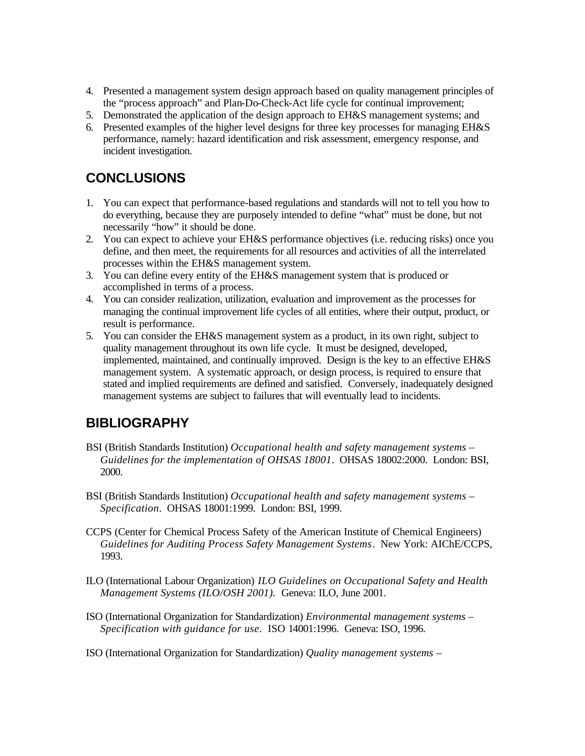- 4. Presented a management system design approach based on quality management principles of the "process approach" and Plan-Do-Check-Act life cycle for continual improvement;
- 5. Demonstrated the application of the design approach to EH&S management systems; and
- 6. Presented examples of the higher level designs for three key processes for managing EH&S performance, namely: hazard identification and risk assessment, emergency response, and incident investigation.

# **CONCLUSIONS**

- 1. You can expect that performance-based regulations and standards will not to tell you how to do everything, because they are purposely intended to define "what" must be done, but not necessarily "how" it should be done.
- 2. You can expect to achieve your EH&S performance objectives (i.e. reducing risks) once you define, and then meet, the requirements for all resources and activities of all the interrelated processes within the EH&S management system.
- 3. You can define every entity of the EH&S management system that is produced or accomplished in terms of a process.
- 4. You can consider realization, utilization, evaluation and improvement as the processes for managing the continual improvement life cycles of all entities, where their output, product, or result is performance.
- 5. You can consider the EH&S management system as a product, in its own right, subject to quality management throughout its own life cycle. It must be designed, developed, implemented, maintained, and continually improved. Design is the key to an effective EH&S management system. A systematic approach, or design process, is required to ensure that stated and implied requirements are defined and satisfied. Conversely, inadequately designed management systems are subject to failures that will eventually lead to incidents.

## **BIBLIOGRAPHY**

- BSI (British Standards Institution) *Occupational health and safety management systems – Guidelines for the implementation of OHSAS 18001*. OHSAS 18002:2000. London: BSI, 2000.
- BSI (British Standards Institution) *Occupational health and safety management systems – Specification*. OHSAS 18001:1999. London: BSI, 1999.
- CCPS (Center for Chemical Process Safety of the American Institute of Chemical Engineers) *Guidelines for Auditing Process Safety Management Systems*. New York: AIChE/CCPS, 1993.
- ILO (International Labour Organization) *ILO Guidelines on Occupational Safety and Health Management Systems (ILO/OSH 2001).* Geneva: ILO, June 2001.
- ISO (International Organization for Standardization) *Environmental management systems – Specification with guidance for use*. ISO 14001:1996. Geneva: ISO, 1996.

ISO (International Organization for Standardization) *Quality management systems –*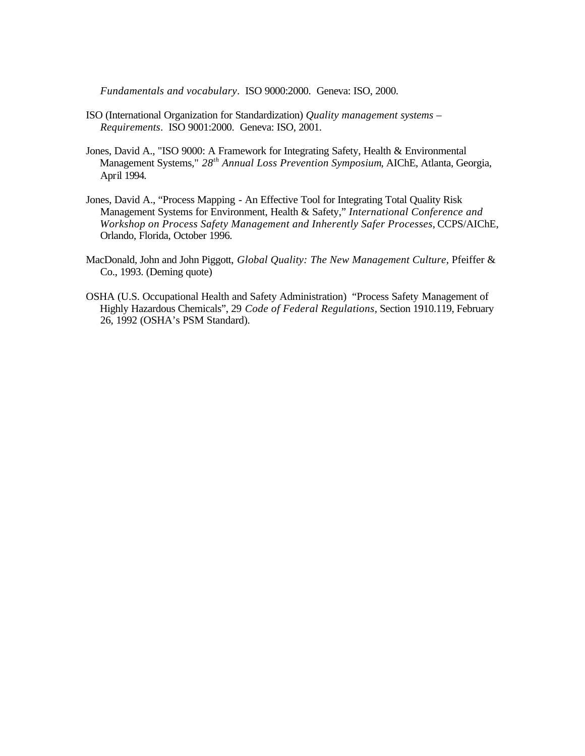*Fundamentals and vocabulary*. ISO 9000:2000. Geneva: ISO, 2000.

- ISO (International Organization for Standardization) *Quality management systems – Requirements*. ISO 9001:2000. Geneva: ISO, 2001.
- Jones, David A., "ISO 9000: A Framework for Integrating Safety, Health & Environmental Management Systems," *28th Annual Loss Prevention Symposium*, AIChE, Atlanta, Georgia, April 1994.
- Jones, David A., "Process Mapping An Effective Tool for Integrating Total Quality Risk Management Systems for Environment, Health & Safety," *International Conference and Workshop on Process Safety Management and Inherently Safer Processes*, CCPS/AIChE, Orlando, Florida, October 1996.
- MacDonald, John and John Piggott, *Global Quality: The New Management Culture*, Pfeiffer & Co., 1993. (Deming quote)
- OSHA (U.S. Occupational Health and Safety Administration) "Process Safety Management of Highly Hazardous Chemicals", 29 *Code of Federal Regulations*, Section 1910.119, February 26, 1992 (OSHA's PSM Standard).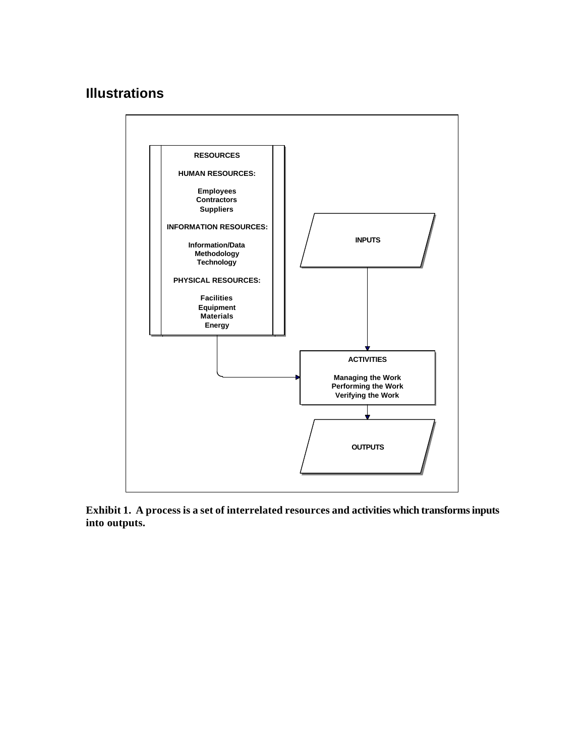# **Illustrations**



**Exhibit 1. A process is a set of interrelated resources and activities which transforms inputs into outputs.**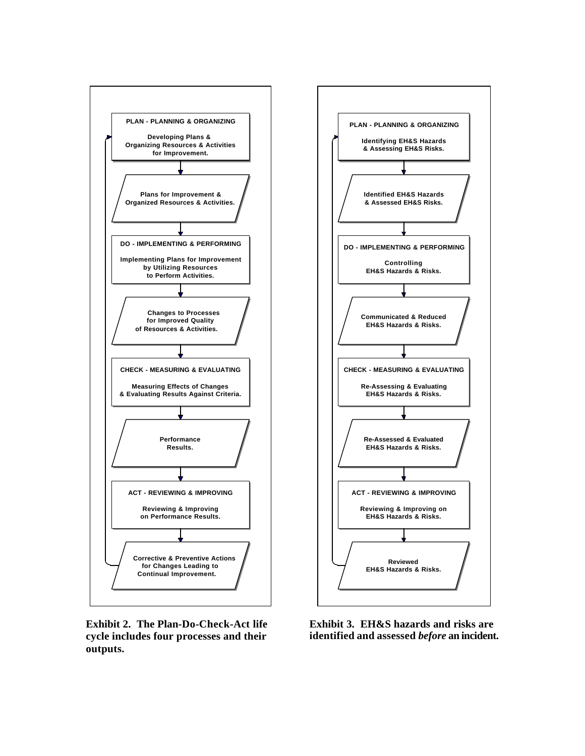

**Exhibit 2. The Plan-Do-Check-Act life cycle includes four processes and their outputs.**



**Exhibit 3. EH&S hazards and risks are identified and assessed** *before* **an incident.**